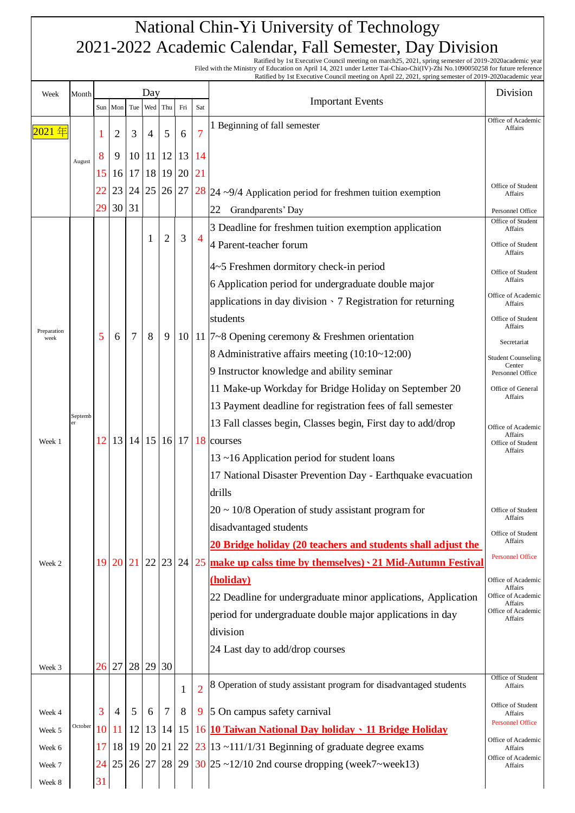Ratified by 1st Executive Council meeting on march25, 2021, spring semester of 2019-2020academic year<br>Filed with the Ministry of Education on April 14, 2021 under Letter Tai-Chiao-Chi(IV)-Zhi No.1090050258 for future refer

Ratified by 1st Executive Council meeting on April 22, 2021, spring semester of 2019-2020academic year

| Week                | Month   | Day |                 |     |                |                      |     |                |                                                                   | Division                                |
|---------------------|---------|-----|-----------------|-----|----------------|----------------------|-----|----------------|-------------------------------------------------------------------|-----------------------------------------|
|                     |         |     | Sun Mon         | Tue | Wed            | Thu                  | Fri | Sat            | <b>Important Events</b>                                           |                                         |
| 2021 年              |         | 1   | 2               | 3   | $\overline{4}$ | 5                    | 6   | 7              | 1 Beginning of fall semester                                      | Office of Academic<br>Affairs           |
|                     |         |     |                 |     |                |                      |     |                |                                                                   |                                         |
|                     | August  | 8   | 9               | 10  | 11             | 12                   | 13  | 14             |                                                                   |                                         |
|                     |         | 15  | 16              | 17  | 18             | 19                   | 20  | 21             |                                                                   | Office of Student                       |
|                     |         | 22  | 23              | 24  |                | 25 26                | 27  |                | $28$ 24 ~9/4 Application period for freshmen tuition exemption    | Affairs                                 |
|                     |         | 29  | 30              | 31  |                |                      |     |                | Grandparents' Day<br>22                                           | Personnel Office<br>Office of Student   |
|                     |         |     |                 |     | 1              | 2                    | 3   | $\overline{4}$ | 3 Deadline for freshmen tuition exemption application             | Affairs                                 |
|                     |         |     |                 |     |                |                      |     |                | 4 Parent-teacher forum                                            | Office of Student<br>Affairs            |
|                     |         |     |                 |     |                |                      |     |                | 4~5 Freshmen dormitory check-in period                            | Office of Student                       |
|                     |         |     |                 |     |                |                      |     |                | 6 Application period for undergraduate double major               | Affairs                                 |
|                     |         |     |                 |     |                |                      |     |                | applications in day division $\cdot$ 7 Registration for returning | Office of Academic<br>Affairs           |
|                     |         |     |                 |     |                |                      |     |                | students                                                          | Office of Student<br>Affairs            |
| Preparation<br>week |         | 5   | 6               | 7   | 8              | 9                    | 10  |                | 11 $7-8$ Opening ceremony & Freshmen orientation                  | Secretariat                             |
|                     |         |     |                 |     |                |                      |     |                | 8 Administrative affairs meeting (10:10~12:00)                    | <b>Student Counseling</b>               |
|                     |         |     |                 |     |                |                      |     |                | 9 Instructor knowledge and ability seminar                        | Center<br>Personnel Office              |
|                     |         |     |                 |     |                |                      |     |                | 11 Make-up Workday for Bridge Holiday on September 20             | Office of General<br>Affairs            |
|                     |         |     |                 |     |                |                      |     |                | 13 Payment deadline for registration fees of fall semester        |                                         |
|                     | Septemb |     |                 |     |                |                      |     |                | 13 Fall classes begin, Classes begin, First day to add/drop       | Office of Academic                      |
| Week 1              |         | 12  | 13 <sup>1</sup> |     |                | $14 \mid 15 \mid 16$ | 17  |                | 18 courses                                                        | Affairs<br>Office of Student<br>Affairs |
|                     |         |     |                 |     |                |                      |     |                | 13~16 Application period for student loans                        |                                         |
|                     |         |     |                 |     |                |                      |     |                | 17 National Disaster Prevention Day - Earthquake evacuation       |                                         |
|                     |         |     |                 |     |                |                      |     |                | drills                                                            |                                         |
|                     |         |     |                 |     |                |                      |     |                | $20 \sim 10/8$ Operation of study assistant program for           | Office of Student<br>Affairs            |
|                     |         |     |                 |     |                |                      |     |                | disadvantaged students                                            | Office of Student                       |
|                     |         |     |                 |     |                |                      |     |                | 20 Bridge holiday (20 teachers and students shall adjust the      | Affairs                                 |
| Week 2              |         | 19  | <b>20</b>       | 21  | 22             | 23                   | 24  |                | 25 make up calss time by themselves) · 21 Mid-Autumn Festival     | <b>Personnel Office</b>                 |
|                     |         |     |                 |     |                |                      |     |                | (holiday)                                                         | Office of Academic<br>Affairs           |
|                     |         |     |                 |     |                |                      |     |                | 22 Deadline for undergraduate minor applications, Application     | Office of Academic<br>Affairs           |
|                     |         |     |                 |     |                |                      |     |                | period for undergraduate double major applications in day         | Office of Academic<br>Affairs           |
|                     |         |     |                 |     |                |                      |     |                | division                                                          |                                         |
|                     |         |     |                 |     |                |                      |     |                | 24 Last day to add/drop courses                                   |                                         |
| Week 3              |         | 26  | 27              | 28  | 29             | 30                   |     |                |                                                                   | Office of Student                       |
|                     |         |     |                 |     |                |                      | 1   | $\overline{2}$ | 8 Operation of study assistant program for disadvantaged students | Affairs                                 |
| Week 4              |         | 3   | $\overline{4}$  | 5   | 6              | 7                    | 8   |                | 9 5 On campus safety carnival                                     | Office of Student<br>Affairs            |
| Week 5              | October | 10  | 11              | 12  | 13             | 14                   | 15  |                | 16 10 Taiwan National Day holiday · 11 Bridge Holiday             | <b>Personnel Office</b>                 |
| Week 6              |         | 17  | 18              | 19  |                | 20 21                | 22  |                | $23$  13 ~111/1/31 Beginning of graduate degree exams             | Office of Academic<br>Affairs           |
| Week 7              |         | 24  | 25              |     |                | 26 27 28             | 29  |                | $30$ 25 ~12/10 2nd course dropping (week7~week13)                 | Office of Academic<br>Affairs           |
| Week 8              |         | 31  |                 |     |                |                      |     |                |                                                                   |                                         |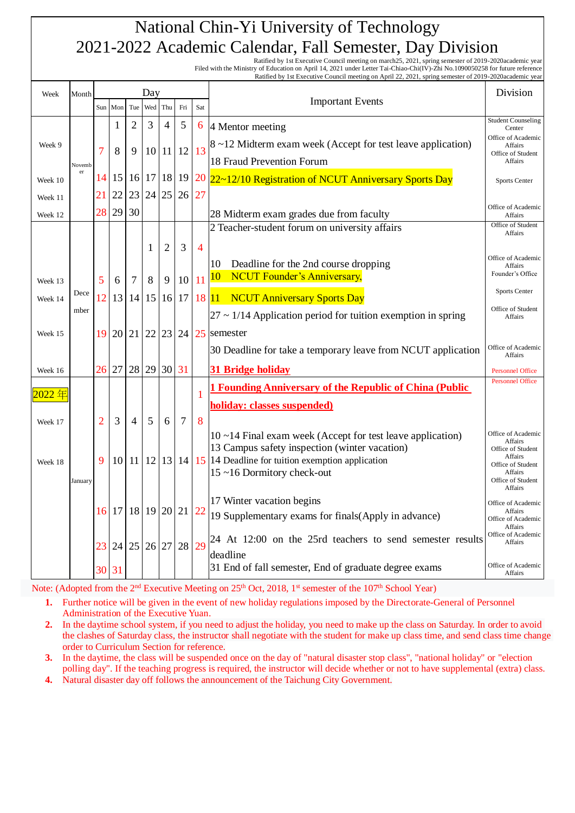Ratified by 1st Executive Council meeting on march25, 2021, spring semester of 2019-2020academic year<br>Filed with the Ministry of Education on April 14, 2021 under Letter Tai-Chiao-Chi(IV)-Zhi No.1090050258 for future refer Ratified by 1st Executive Council meeting on April 22, 2021, spring semester of 2019-2020academic year

| Week     | Month   | Day            |         |     |             |                 |                |                |                                                                                                            | Division                                           |
|----------|---------|----------------|---------|-----|-------------|-----------------|----------------|----------------|------------------------------------------------------------------------------------------------------------|----------------------------------------------------|
|          |         |                | Sun Mon | Tue | Wed         | Thu             | Fri            | Sat            | <b>Important Events</b>                                                                                    |                                                    |
|          |         |                | 1       | 2   | 3           | $\overline{4}$  | $\mathfrak{S}$ | 6              | 4 Mentor meeting                                                                                           | <b>Student Counseling</b><br>Center                |
| Week 9   |         |                |         |     |             |                 |                |                | 8~12 Midterm exam week (Accept for test leave application)                                                 | Office of Academic<br>Affairs                      |
|          | Novemb  | 7              | 8       | 9   | 10          | 11              | 12             | 13             | 18 Fraud Prevention Forum                                                                                  | Office of Student<br>Affairs                       |
| Week 10  | er      | 14             | 15      | 16  | 17          | 18              | 19             | 20             | 22~12/10 Registration of NCUT Anniversary Sports Day                                                       | Sports Center                                      |
| Week 11  |         | 21             | 22      | 23  | 24          | 25              | 26             | 27             |                                                                                                            |                                                    |
| Week 12  |         | 28             | 29      | 30  |             |                 |                |                | 28 Midterm exam grades due from faculty                                                                    | Office of Academic<br>Affairs                      |
|          |         |                |         |     |             |                 |                |                | 2 Teacher-student forum on university affairs                                                              | Office of Student                                  |
|          |         |                |         |     | 1           | 2               | 3              | $\overline{4}$ |                                                                                                            | Affairs                                            |
|          |         |                |         |     |             |                 |                |                | 10<br>Deadline for the 2nd course dropping                                                                 | Office of Academic                                 |
| Week 13  |         | 5              | 6       | 7   | 8           | 9               | 10             | 11             | <b>NCUT Founder's Anniversary,</b><br>10                                                                   | Affairs<br>Founder's Office                        |
| Week 14  | Dece    | 12             | 13      | 14  | 15          | 16              | 17             | 18 11          | <b>NCUT Anniversary Sports Day</b>                                                                         | Sports Center                                      |
|          | mber    |                |         |     |             |                 |                |                | $27 \sim 1/14$ Application period for tuition exemption in spring                                          | Office of Student                                  |
|          |         |                |         |     |             |                 |                |                |                                                                                                            | Affairs                                            |
| Week 15  |         | 19             | 20      | 21  | 22          | 23              | 24             | 25             | semester                                                                                                   | Office of Academic                                 |
|          |         |                |         |     |             |                 |                |                | 30 Deadline for take a temporary leave from NCUT application                                               | Affairs                                            |
| Week 16  |         | 26             | 27      | 28  | 29          | 30 31           |                |                | 31 Bridge holiday                                                                                          | <b>Personnel Office</b><br><b>Personnel Office</b> |
| $2022$ 年 |         |                |         |     |             |                 |                | 1              | <b>1 Founding Anniversary of the Republic of China (Public)</b>                                            |                                                    |
|          |         |                |         |     |             |                 |                |                | holiday: classes suspended)                                                                                |                                                    |
| Week 17  |         | $\overline{2}$ | 3       | 4   | 5           | 6               | 7              | 8              |                                                                                                            |                                                    |
|          |         |                |         |     |             |                 |                |                | 10~14 Final exam week (Accept for test leave application)                                                  | Office of Academic<br>Affairs                      |
| Week 18  |         | 9              | 10      | 11  | 12          | 13 <sup>1</sup> |                |                | 13 Campus safety inspection (winter vacation)<br>14   $15$   14 Deadline for tuition exemption application | Office of Student<br>Affairs                       |
|          |         |                |         |     |             |                 |                |                | 15~16 Dormitory check-out                                                                                  | Office of Student<br>Affairs                       |
|          | January |                |         |     |             |                 |                |                |                                                                                                            | Office of Student<br>Affairs                       |
|          |         |                | 16 17   |     | 18 19 20 21 |                 |                | 22             | 17 Winter vacation begins                                                                                  | Office of Academic<br>Affairs                      |
|          |         |                |         |     |             |                 |                |                | 19 Supplementary exams for finals (Apply in advance)                                                       | Office of Academic<br>Affairs                      |
|          |         |                |         |     |             |                 |                |                | 24 At 12:00 on the 25rd teachers to send semester results                                                  | Office of Academic<br>Affairs                      |
|          |         | 23             | 24      |     | 25 26 27    |                 | 28             | 29             | deadline                                                                                                   |                                                    |
|          |         | 30 31          |         |     |             |                 |                |                | 31 End of fall semester, End of graduate degree exams                                                      | Office of Academic<br>Affairs                      |

Note: (Adopted from the 2<sup>nd</sup> Executive Meeting on 25<sup>th</sup> Oct, 2018, 1<sup>st</sup> semester of the 107<sup>th</sup> School Year)

**1.** Further notice will be given in the event of new holiday regulations imposed by the Directorate-General of Personnel Administration of the Executive Yuan.

- **2.** In the daytime school system, if you need to adjust the holiday, you need to make up the class on Saturday. In order to avoid the clashes of Saturday class, the instructor shall negotiate with the student for make up class time, and send class time change order to Curriculum Section for reference.
- **3.** In the daytime, the class will be suspended once on the day of "natural disaster stop class", "national holiday" or "election polling day". If the teaching progress is required, the instructor will decide whether or not to have supplemental (extra) class.

**4.** Natural disaster day off follows the announcement of the Taichung City Government.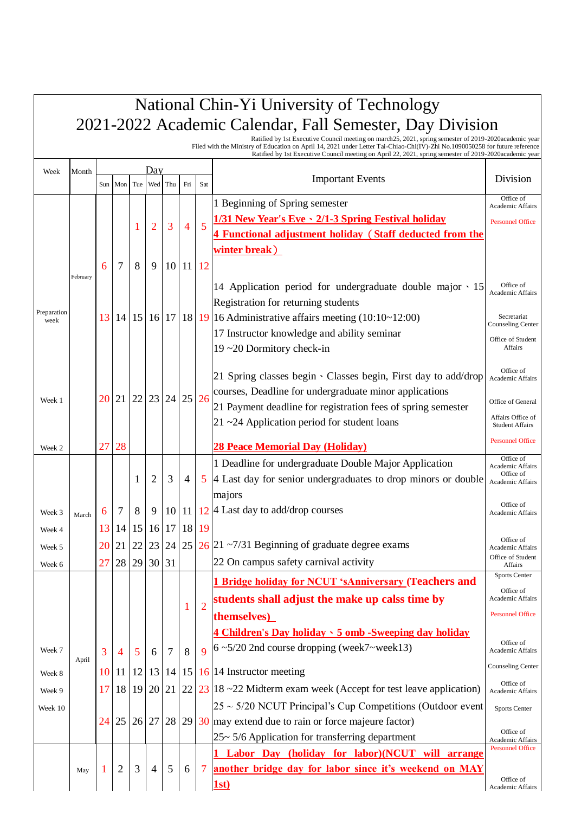|                     |          |                 |                |     |                |     |                |                | Ratified by 1st Executive Council meeting on march 25, 2021, spring semester of 2019-2020academic year<br>Filed with the Ministry of Education on April 14, 2021 under Letter Tai-Chiao-Chi(IV)-Zhi No.1090050258 for future reference<br>Ratified by 1st Executive Council meeting on April 22, 2021, spring semester of 2019-2020academic year |                               |
|---------------------|----------|-----------------|----------------|-----|----------------|-----|----------------|----------------|--------------------------------------------------------------------------------------------------------------------------------------------------------------------------------------------------------------------------------------------------------------------------------------------------------------------------------------------------|-------------------------------|
| Week                | Month    |                 |                |     | Day            |     |                |                |                                                                                                                                                                                                                                                                                                                                                  |                               |
|                     |          | Sun             | Mon            | Tue | Wed            | Thu | Fri            | Sat            | <b>Important Events</b>                                                                                                                                                                                                                                                                                                                          | Division                      |
|                     |          |                 |                |     |                |     |                |                | 1 Beginning of Spring semester                                                                                                                                                                                                                                                                                                                   | Office of<br>Academic Affairs |
|                     |          |                 |                |     |                |     |                |                | 1/31 New Year's Eve \ 2/1-3 Spring Festival holiday                                                                                                                                                                                                                                                                                              | <b>Personnel Office</b>       |
|                     |          |                 |                | 1   | 2              | 3   | $\overline{4}$ | 5              | 4 Functional adjustment holiday (Staff deducted from the                                                                                                                                                                                                                                                                                         |                               |
|                     |          |                 |                |     |                |     |                |                | winter break)                                                                                                                                                                                                                                                                                                                                    |                               |
|                     |          | 6               | 7              | 8   | 9              | 10  | 11             | 12             |                                                                                                                                                                                                                                                                                                                                                  |                               |
|                     | February |                 |                |     |                |     |                |                | 14 Application period for undergraduate double major · 15                                                                                                                                                                                                                                                                                        | Office of                     |
|                     |          |                 |                |     |                |     |                |                | Registration for returning students                                                                                                                                                                                                                                                                                                              | Academic Affairs              |
| Preparation<br>week |          | 13 <sup>1</sup> | 14             | 15  | 16             | 17  | 18             |                | 19 16 Administrative affairs meeting $(10:10-12:00)$                                                                                                                                                                                                                                                                                             | Secretariat                   |
|                     |          |                 |                |     |                |     |                |                | 17 Instructor knowledge and ability seminar                                                                                                                                                                                                                                                                                                      | <b>Counseling Center</b>      |
|                     |          |                 |                |     |                |     |                |                | 19~20 Dormitory check-in                                                                                                                                                                                                                                                                                                                         | Office of Student<br>Affairs  |
|                     |          |                 |                |     |                |     |                |                |                                                                                                                                                                                                                                                                                                                                                  | Office of                     |
|                     |          |                 |                |     |                |     |                |                | 21 Spring classes begin · Classes begin, First day to add/drop                                                                                                                                                                                                                                                                                   | Academic Affairs              |
| Week 1              |          | 20              | 21             | 22  | 23             | 24  | 25             | 26             | courses, Deadline for undergraduate minor applications                                                                                                                                                                                                                                                                                           | Office of General             |
|                     |          |                 |                |     |                |     |                |                | 21 Payment deadline for registration fees of spring semester                                                                                                                                                                                                                                                                                     | Affairs Office of             |
|                     |          |                 |                |     |                |     |                |                | 21~24 Application period for student loans                                                                                                                                                                                                                                                                                                       | <b>Student Affairs</b>        |
| Week 2              |          | 27              | 28             |     |                |     |                |                | <b>28 Peace Memorial Day (Holiday)</b>                                                                                                                                                                                                                                                                                                           | <b>Personnel Office</b>       |
|                     |          |                 |                |     |                |     |                |                | 1 Deadline for undergraduate Double Major Application                                                                                                                                                                                                                                                                                            | Office of<br>Academic Affairs |
|                     |          |                 |                | 1   | $\overline{2}$ | 3   | $\overline{4}$ | $\mathfrak{S}$ | 4 Last day for senior undergraduates to drop minors or double                                                                                                                                                                                                                                                                                    | Office of<br>Academic Affairs |
|                     |          |                 |                |     |                |     |                |                | majors                                                                                                                                                                                                                                                                                                                                           |                               |
| Week 3              | March    | 6               | 7              | 8   | 9              | 10  | 11             |                | $12$  4 Last day to add/drop courses                                                                                                                                                                                                                                                                                                             | Office of<br>Academic Affairs |
| Week 4              |          | 13              | 14             | 15  | 16             | 17  | 18             | 19             |                                                                                                                                                                                                                                                                                                                                                  |                               |
| Week 5              |          | 20              | 21             | 22  | 23             | 24  | 25             |                | $26$ 21 ~7/31 Beginning of graduate degree exams                                                                                                                                                                                                                                                                                                 | Office of<br>Academic Affairs |
| Week 6              |          | 27              | 28             | 29  | 30             | 31  |                |                | 22 On campus safety carnival activity                                                                                                                                                                                                                                                                                                            | Office of Student<br>Affairs  |
|                     |          |                 |                |     |                |     |                |                | 1 Bridge holiday for NCUT 'sAnniversary (Teachers and                                                                                                                                                                                                                                                                                            | Sports Center                 |
|                     |          |                 |                |     |                |     |                |                | students shall adjust the make up calss time by                                                                                                                                                                                                                                                                                                  | Office of<br>Academic Affairs |
|                     |          |                 |                |     |                |     | 1              | $\overline{2}$ | <b>themselves</b> )                                                                                                                                                                                                                                                                                                                              | <b>Personnel Office</b>       |
|                     |          |                 |                |     |                |     |                |                | 4 Children's Day holiday > 5 omb -Sweeping day holiday                                                                                                                                                                                                                                                                                           |                               |
|                     |          |                 |                |     |                |     |                |                | $6 \sim 5/20$ 2nd course dropping (week7~week13)                                                                                                                                                                                                                                                                                                 | Office of                     |
| Week 7              | April    | 3               | 4              | 5   | 6              | 7   | 8              | $\mathbf Q$    |                                                                                                                                                                                                                                                                                                                                                  | Academic Affairs              |
| Week 8              |          | <sup>10</sup>   | 11             | 12  | 13             | 14  | 15             |                | 16 14 Instructor meeting                                                                                                                                                                                                                                                                                                                         | Counseling Center             |
| Week 9              |          |                 | 17 18          | 19  | 20 21          |     | 22             |                | $23$  18~22 Midterm exam week (Accept for test leave application)                                                                                                                                                                                                                                                                                | Office of<br>Academic Affairs |
| Week 10             |          |                 |                |     |                |     |                |                | $25 \sim 5/20$ NCUT Principal's Cup Competitions (Outdoor event                                                                                                                                                                                                                                                                                  | Sports Center                 |
|                     |          | 24              | 25             |     | 26 27          |     |                |                | $\left  28 \right  29$ 30 may extend due to rain or force majeure factor)                                                                                                                                                                                                                                                                        |                               |
|                     |          |                 |                |     |                |     |                |                | 25~5/6 Application for transferring department                                                                                                                                                                                                                                                                                                   | Office of<br>Academic Affairs |
|                     |          |                 |                |     |                |     |                |                | Labor Day (holiday for labor)(NCUT will arrange                                                                                                                                                                                                                                                                                                  | <b>Personnel Office</b>       |
|                     | May      | 1               | $\overline{2}$ | 3   | 4              | 5   | 6              | 7              | another bridge day for labor since it's weekend on MAY                                                                                                                                                                                                                                                                                           |                               |
|                     |          |                 |                |     |                |     |                |                | 1st)                                                                                                                                                                                                                                                                                                                                             | Office of<br>Academic Affairs |